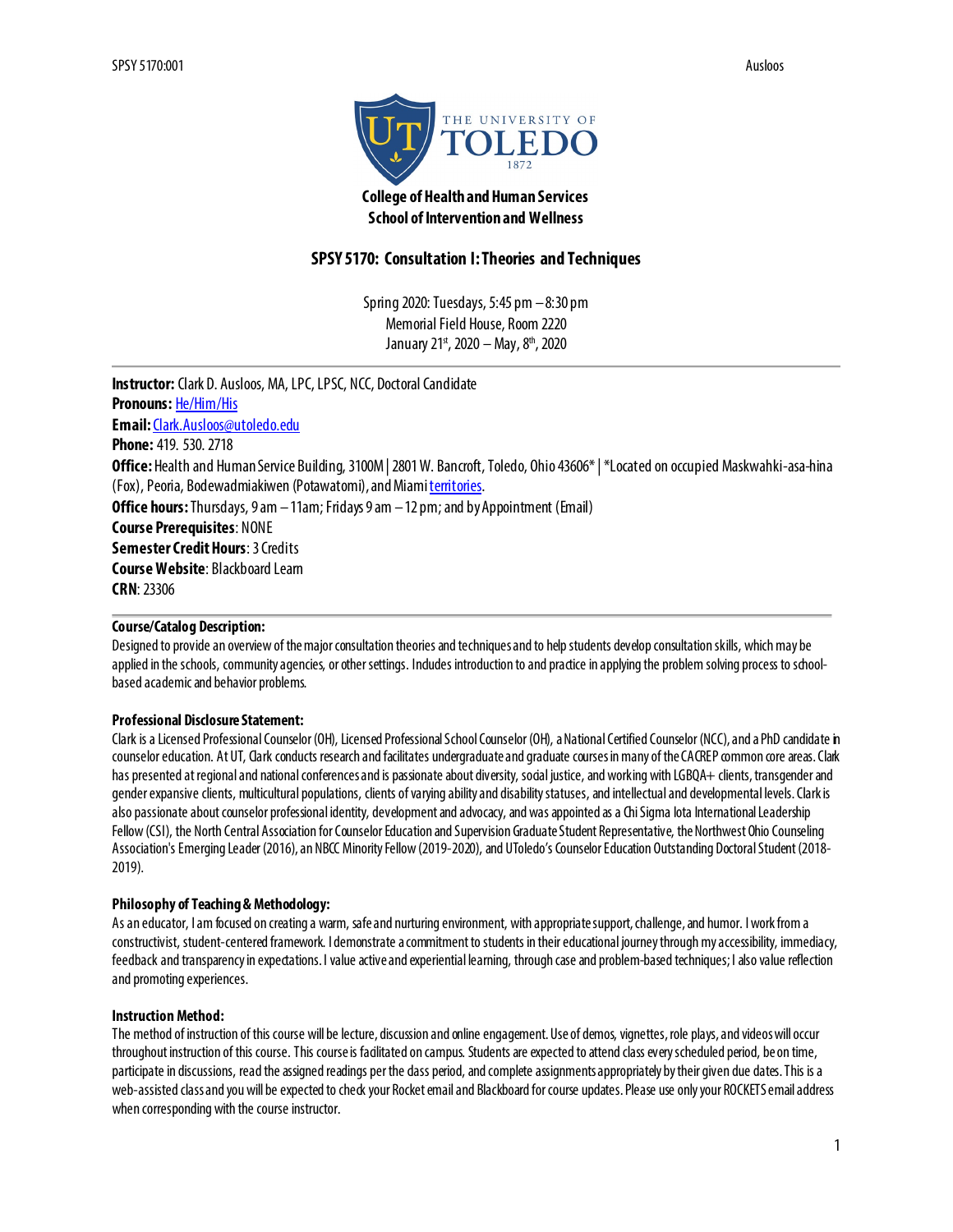

# **College of Health and Human Services School of Intervention and Wellness**

# **SPSY 5170: Consultation I: Theories and Techniques**

Spring 2020: Tuesdays, 5:45 pm –8:30 pm Memorial Field House, Room 2220 January 21st, 2020 - May, 8<sup>th</sup>, 2020

**Instructor:** Clark D. Ausloos, MA, LPC, LPSC, NCC, Doctoral Candidate **Pronouns:** [He/Him/His](https://www.mypronouns.org/) **Email:**[Clark.Ausloos@utoledo.edu](mailto:Clark.Ausloos@utoledo.edu) **Phone:** 419. 530. 2718 **Office:** Health and Human Service Building, 3100M | 2801 W. Bancroft, Toledo, Ohio 43606\* | \*Located on occupied Maskwahki-asa-hina (Fox), Peoria, Bodewadmiakiwen (Potawatomi), and Mia[mi territories](https://native-land.ca/). **Office hours:**Thursdays, 9 am –11am; Fridays 9 am –12 pm; and by Appointment (Email) **Course Prerequisites**: NONE **Semester Credit Hours**: 3 Credits **Course Website**: Blackboard Learn **CRN**: 23306

## **Course/Catalog Description:**

Designed to provide an overview of the major consultation theories and techniques and to help students develop consultation skills, which may be applied in the schools, community agencies, or other settings. Indudes introduction to and practice in applying the problem solving process to schoolbased academic and behavior problems.

## **Professional Disclosure Statement:**

Clark is a Licensed Professional Counselor (OH), Licensed Professional School Counselor (OH), aNational Certified Counselor (NCC), and a PhD candidate in counselor education. At UT, Clark conducts research and facilitates undergraduate and graduate courses in many of the CACREP common core areas. Clark has presented at regional and national conferences and is passionate about diversity, social justice, and working with LGBQA+ clients, transgender and gender expansive clients, multicultural populations, clients of varying ability and disability statuses, and intellectual and developmental levels. Clark is also passionate about counselor professional identity, development and advocacy, and was appointed as a Chi Sigma Iota International Leadership Fellow(CSI), the North Central Association for Counselor Education and Supervision Graduate Student Representative, the Northwest Ohio Counseling Association's Emerging Leader (2016), an NBCC Minority Fellow (2019-2020), and UToledo's Counselor Education Outstanding Doctoral Student (2018-2019).

### **Philosophy of Teaching & Methodology:**

As an educator, I am focused on creating a warm, safe and nurturing environment, with appropriate support, challenge, and humor. I work from a constructivist, student-centered framework. I demonstrate a commitment to students in their educational journey through my accessibility, immediacy, feedback and transparency in expectations. I value active and experiential learning, through case and problem-based techniques; I also value reflection and promoting experiences.

### **Instruction Method:**

The method of instruction of this course will be lecture, discussion and online engagement. Use of demos, vignettes, role plays, and videos will occur throughout instruction of this course. This course is facilitated on campus. Students are expected to attend class every scheduled period, be on time, participate in discussions, read the assigned readings per the dass period, and complete assignments appropriately by their given due dates. This is a web-assisted class and you will be expected to check your Rocket email and Blackboard for course updates. Please use only your ROCKETS email address when corresponding with the course instructor.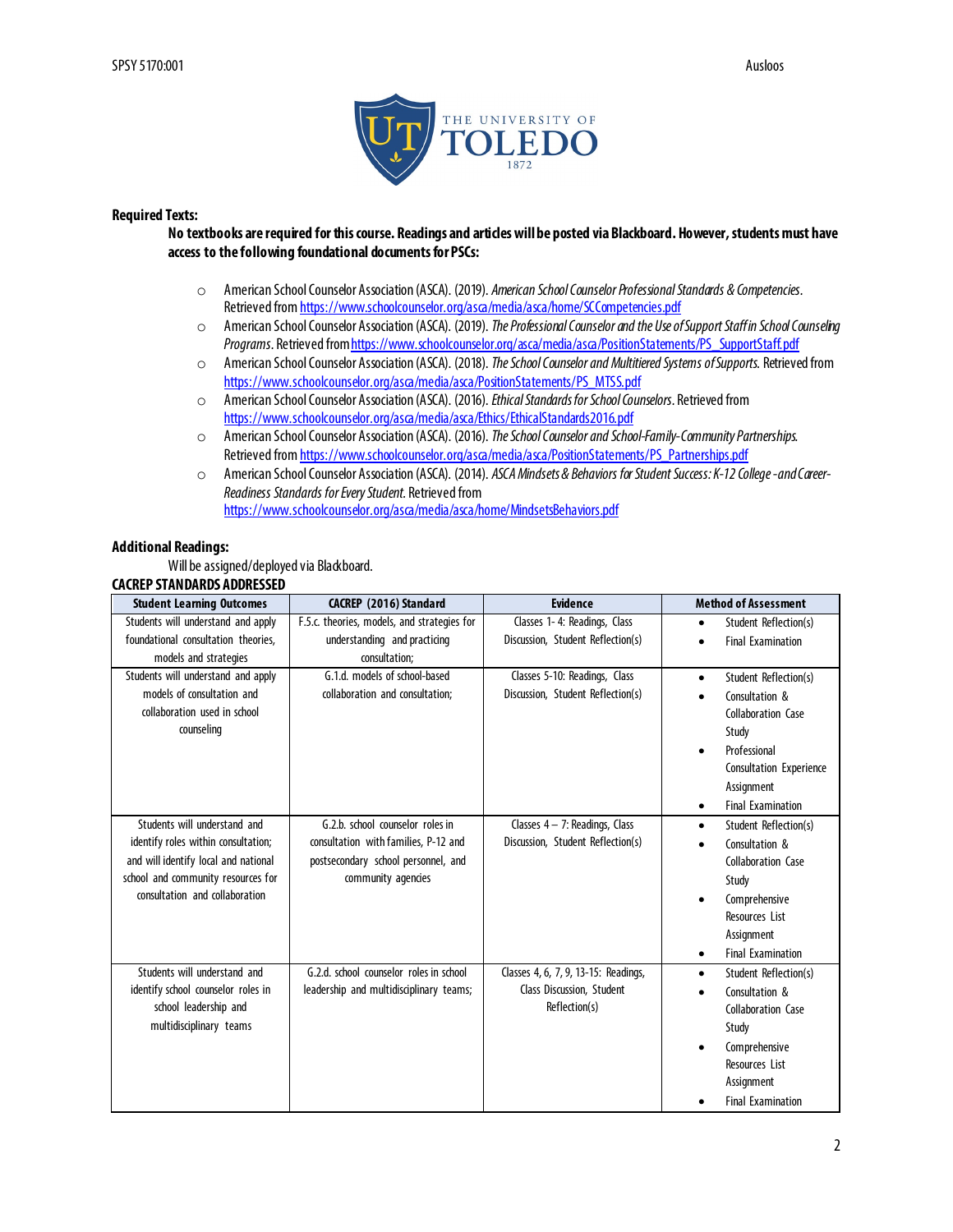

### **Required Texts:**

#### **No textbooks are required for this course. Readings and articles will be posted via Blackboard. However, students must have access to the following foundational documents for PSCs:**

- o American School Counselor Association (ASCA). (2019). *American School Counselor Professional Standards & Competencies.* Retrieved fro[m https://www.schoolcounselor.org/asca/media/asca/home/SCCompetencies.pdf](https://www.schoolcounselor.org/asca/media/asca/home/SCCompetencies.pdf)
- o American SchoolCounselor Association (ASCA). (2019). *The Professional Counselor and the Use of Support Staff in School Counseling Programs.* Retrieved fro[m https://www.schoolcounselor.org/asca/media/asca/PositionStatements/PS\\_SupportStaff.pdf](https://www.schoolcounselor.org/asca/media/asca/PositionStatements/PS_SupportStaff.pdf)
- o American School Counselor Association (ASCA). (2018). *The School Counselor and Multitiered Systems of Supports*. Retrieved from [https://www.schoolcounselor.org/asca/media/asca/PositionStatements/PS\\_MTSS.pdf](https://www.schoolcounselor.org/asca/media/asca/PositionStatements/PS_MTSS.pdf)
- o American School Counselor Association (ASCA). (2016). *Ethical Standards for School Counselors.* Retrieved from <https://www.schoolcounselor.org/asca/media/asca/Ethics/EthicalStandards2016.pdf>
- o American School Counselor Association (ASCA). (2016). *The School Counselor and School-Family-Community Partnerships.*  Retrieved fro[m https://www.schoolcounselor.org/asca/media/asca/PositionStatements/PS\\_Partnerships.pdf](https://www.schoolcounselor.org/asca/media/asca/PositionStatements/PS_Partnerships.pdf)
- o American School Counselor Association (ASCA). (2014). *ASCA Mindsets & Behaviors for Student Success: K-12 College -and Career-Readiness Standards for Every Student.* Retrieved from <https://www.schoolcounselor.org/asca/media/asca/home/MindsetsBehaviors.pdf>

#### **Additional Readings:**

Will be assigned/deployed via Blackboard.

#### **CACREP STANDARDS ADDRESSED**

| <b>Student Learning Outcomes</b>                                                                                                                                                    | CACREP (2016) Standard                                                                                                                | <b>Evidence</b>                                                                    | <b>Method of Assessment</b>                                                                                                                                                                     |
|-------------------------------------------------------------------------------------------------------------------------------------------------------------------------------------|---------------------------------------------------------------------------------------------------------------------------------------|------------------------------------------------------------------------------------|-------------------------------------------------------------------------------------------------------------------------------------------------------------------------------------------------|
| Students will understand and apply                                                                                                                                                  | F.5.c. theories, models, and strategies for                                                                                           | Classes 1-4: Readings, Class                                                       | Student Reflection(s)<br>$\bullet$                                                                                                                                                              |
| foundational consultation theories,                                                                                                                                                 | understanding and practicing                                                                                                          | Discussion, Student Reflection(s)                                                  | <b>Final Examination</b><br>٠                                                                                                                                                                   |
| models and strategies                                                                                                                                                               | consultation:                                                                                                                         |                                                                                    |                                                                                                                                                                                                 |
| Students will understand and apply<br>models of consultation and<br>collaboration used in school<br>counseling                                                                      | G.1.d. models of school-based<br>collaboration and consultation:                                                                      | Classes 5-10: Readings, Class<br>Discussion, Student Reflection(s)                 | Student Reflection(s)<br>$\bullet$<br>Consultation &<br>Collaboration Case<br>Study<br>Professional<br>٠<br>Consultation Experience<br>Assignment                                               |
|                                                                                                                                                                                     |                                                                                                                                       |                                                                                    | <b>Final Examination</b><br>$\bullet$                                                                                                                                                           |
| Students will understand and<br>identify roles within consultation;<br>and will identify local and national<br>school and community resources for<br>consultation and collaboration | G.2.b. school counselor roles in<br>consultation with families, P-12 and<br>postsecondary school personnel, and<br>community agencies | Classes $4 - 7$ : Readings, Class<br>Discussion, Student Reflection(s)             | Student Reflection(s)<br>$\bullet$<br>Consultation &<br>$\bullet$<br>Collaboration Case<br>Study<br>Comprehensive<br>٠<br>Resources List<br>Assignment<br><b>Final Examination</b><br>$\bullet$ |
| Students will understand and<br>identify school counselor roles in<br>school leadership and<br>multidisciplinary teams                                                              | G.2.d. school counselor roles in school<br>leadership and multidisciplinary teams;                                                    | Classes 4, 6, 7, 9, 13-15: Readings,<br>Class Discussion, Student<br>Reflection(s) | Student Reflection(s)<br>$\bullet$<br>Consultation &<br>Collaboration Case<br>Study<br>Comprehensive<br>Resources List<br>Assignment<br><b>Final Examination</b><br>$\bullet$                   |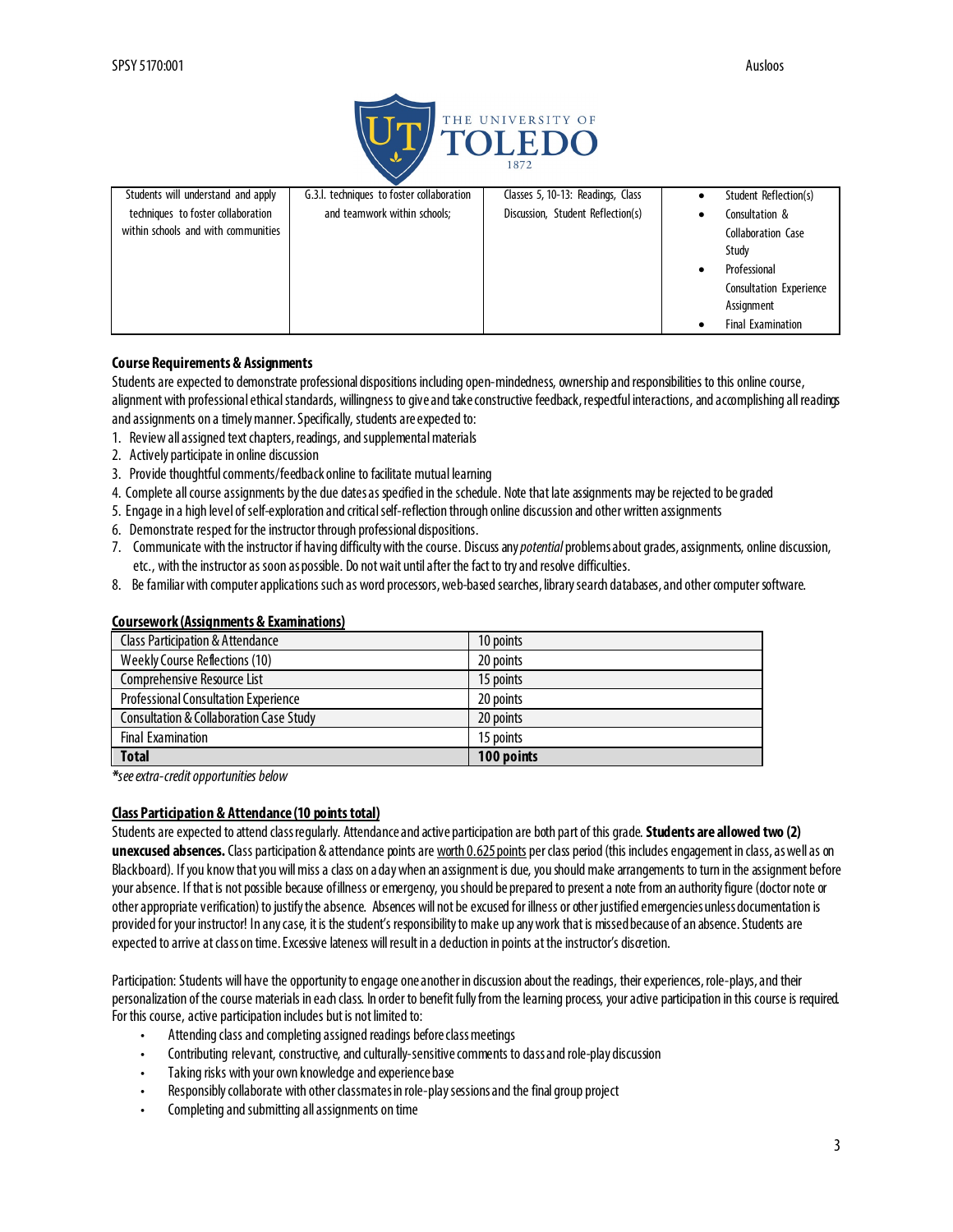

| Students will understand and apply  | G.3.I. techniques to foster collaboration | Classes 5, 10-13: Readings, Class | Student Reflection(s)          |
|-------------------------------------|-------------------------------------------|-----------------------------------|--------------------------------|
| techniques to foster collaboration  | and teamwork within schools;              | Discussion, Student Reflection(s) | Consultation &                 |
| within schools and with communities |                                           |                                   | Collaboration Case             |
|                                     |                                           |                                   | Study                          |
|                                     |                                           |                                   | Professional                   |
|                                     |                                           |                                   | <b>Consultation Experience</b> |
|                                     |                                           |                                   | Assignment                     |
|                                     |                                           |                                   | <b>Final Examination</b>       |

### **Course Requirements & Assignments**

Students are expected to demonstrate professional dispositions including open-mindedness, ownershipand responsibilities to this online course, alignment with professional ethical standards, willingness to give and take constructive feedback, respectful interactions, and accomplishing all readings and assignments on a timely manner. Specifically, students are expected to:

- 1. Review all assigned text chapters, readings, and supplemental materials
- 2. Actively participate in online discussion
- 3. Provide thoughtful comments/feedback online to facilitate mutual learning
- 4. Complete all course assignments by the due dates as specified in the schedule. Note that late assignments may be rejected to be graded
- 5. Engage in a high level of self-exploration and critical self-reflection through online discussion and other written assignments
- 6. Demonstrate respect for the instructor through professional dispositions.
- 7. Communicate with the instructor if having difficulty with the course. Discuss any *potential* problems about grades, assignments, online discussion, etc., with the instructor as soon as possible. Do not wait until after the fact to try and resolve difficulties.
- 8. Be familiar with computer applications such as word processors, web-based searches, library search databases, and other computer software.

#### **Coursework (Assignments & Examinations)**

| <b>Total</b>                                       | 100 points |
|----------------------------------------------------|------------|
| <b>Final Examination</b>                           | 15 points  |
| <b>Consultation &amp; Collaboration Case Study</b> | 20 points  |
| <b>Professional Consultation Experience</b>        | 20 points  |
| Comprehensive Resource List                        | 15 points  |
| <b>Weekly Course Reflections (10)</b>              | 20 points  |
| <b>Class Participation &amp; Attendance</b>        | 10 points  |

*\*see extra-credit opportunities below*

### **Class Participation & Attendance (10 points total)**

Students are expected to attend class regularly. Attendance and active participation are both part of this grade. **Students are allowed two (2)**  unexcused absences. Class participation & attendance points are worth 0.625 points per class period (this includes engagement in class, as well as on Blackboard). If you know that you will miss a class on a day when an assignment is due, you should make arrangements to turn in the assignment before your absence. If that is not possible because of illness or emergency, you should be prepared to present a note from an authority figure (doctor note or other appropriate verification) to justify the absence. Absences will not be excused for illness or other justified emergencies unless documentation is provided for your instructor! In any case, it is the student's responsibility to make up any work that is missed because of an absence. Students are expected to arrive at class on time. Excessive lateness will result in a deduction in points at the instructor's discretion.

Participation: Students will have the opportunity to engage one another in discussion about the readings, their experiences, role-plays, and their personalization of the course materials in each class. In order to benefit fully from the learning process, your active participation in this course is required. For this course, active participation includes but is not limited to:

- Attending class and completing assigned readings before class meetings
- Contributing relevant, constructive, and culturally-sensitive comments to dass and role-play discussion
- Taking risks with your own knowledge and experience base
- Responsibly collaborate with other classmatesin role-play sessions and the final group project
- Completing and submitting all assignments on time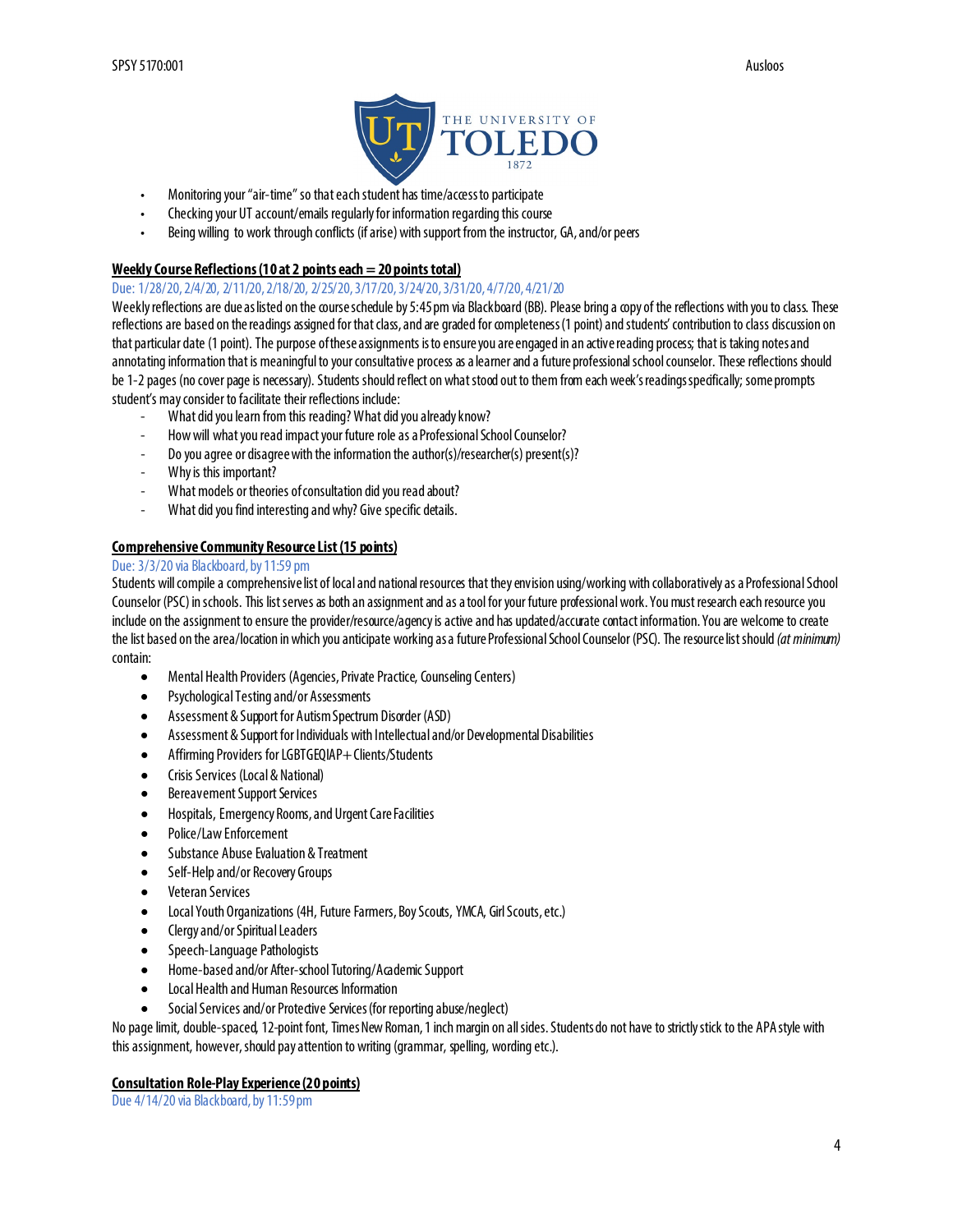

- Monitoring your "air-time" so that each student has time/access to participate
- Checking your UT account/emails regularly for information regarding this course
- Being willing to work through conflicts (if arise) with support from the instructor, GA, and/or peers

## **Weekly Course Reflections (10 at 2 points each = 20 points total)**

#### Due: 1/28/20, 2/4/20, 2/11/20, 2/18/20, 2/25/20, 3/17/20, 3/24/20, 3/31/20, 4/7/20, 4/21/20

Weekly reflections are due as listed on the course schedule by 5:45 pm via Blackboard (BB). Please bring a copy of the reflections with you to class. These reflections are based on the readings assigned for that class,and are graded for completeness (1 point) and students' contribution to class discussion on that particular date (1 point). The purpose of these assignments is to ensure you are engaged in an active reading process; that is taking notes and annotating information that is meaningful to your consultative process as a learner and a future professional school counselor. These reflections should be 1-2 pages (no cover page is necessary). Students should reflect on what stood out to them from each week's readings specifically; some prompts student's may consider to facilitate their reflections include:

- What did you learn from this reading? What did you already know?
- How will what you read impact your future role as a Professional School Counselor?
- Do you agree or disagree with the information the author(s)/researcher(s) present(s)?
- Why is this important?
- What models or theories of consultation did you read about?
- What did you find interesting and why? Give specific details.

## **Comprehensive Community Resource List (15 points)**

#### Due: 3/3/20 via Blackboard, by 11:59 pm

Students will compile a comprehensive list of local and national resources that they envision using/working with collaborativelyas a Professional School Counselor (PSC) in schools. This list serves as both an assignment and as a tool for your future professional work.You must research each resource you include on the assignment to ensure the provider/resource/agency is active and has updated/accurate contact information. You are welcome to create the list based on the area/location in which you anticipate workingas a future Professional School Counselor (PSC). The resource list should *(at minimum)* contain:

- Mental Health Providers (Agencies, Private Practice, Counseling Centers)
- Psychological Testing and/or Assessments
- Assessment & Support for Autism Spectrum Disorder (ASD)
- Assessment & Support for Individuals with Intellectual and/or Developmental Disabilities
- Affirming Providers for LGBTGEQIAP+ Clients/Students
- Crisis Services (Local & National)
- Bereavement Support Services
- Hospitals, Emergency Rooms, and Urgent Care Facilities
- Police/Law Enforcement
- Substance Abuse Evaluation & Treatment
- Self-Help and/or Recovery Groups
- Veteran Services
- Local Youth Organizations (4H, Future Farmers, Boy Scouts, YMCA, Girl Scouts, etc.)
- Clergy and/or Spiritual Leaders
- Speech-Language Pathologists
- Home-based and/or After-school Tutoring/Academic Support
- Local Health and Human Resources Information
- Social Services and/or Protective Services (for reporting abuse/neglect)

No page limit, double-spaced, 12-point font, Times New Roman, 1 inch margin on all sides. Students do not have to strictly stick to the APA style with this assignment, however, should pay attention to writing (grammar, spelling, wording etc.).

### **Consultation Role-Play Experience (20 points)**

Due 4/14/20 via Blackboard, by 11:59 pm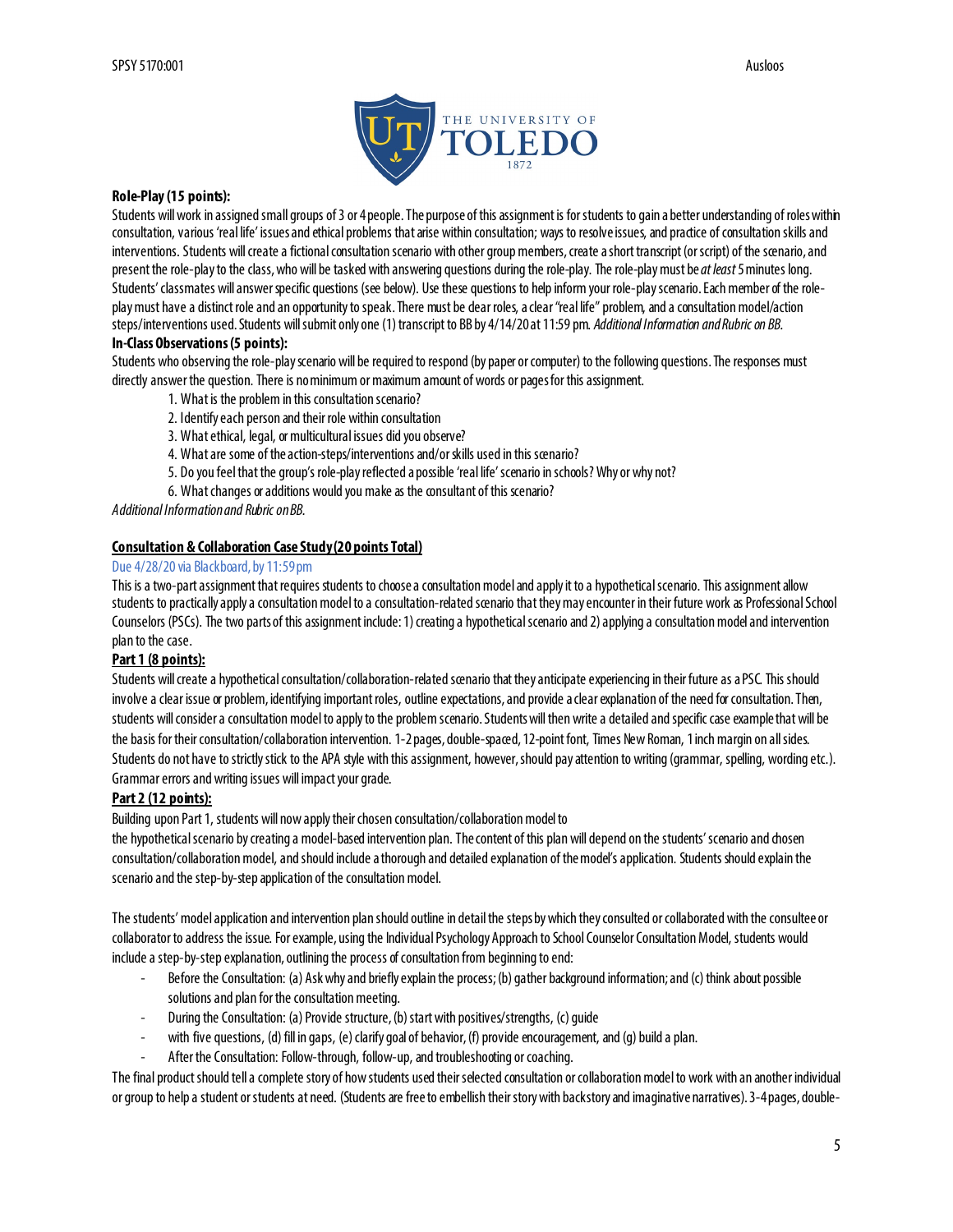

#### **Role-Play (15 points):**

Students will work in assigned small groups of 3 or 4 people. The purpose of this assignment is for students to gain a better understanding of roles within consultation, various 'real life' issues and ethical problems that arise within consultation; ways to resolve issues, and practice of consultation skills and interventions. Students will create a fictional consultation scenario with other group members, create a short transcript (orscript) of the scenario, and present the role-play to the class, who will be tasked with answering questions during the role-play. The role-play must be *at least*5 minutes long. Students' classmates will answer specific questions (see below). Use these questions to help inform your role-play scenario. Each member of the roleplay must have a distinct role and an opportunity to speak. There must be dear roles, a clear "real life" problem, and a consultation model/action steps/interventions used. Students will submit only one (1) transcript to BB by 4/14/20 at 11:59 pm. *Additional Informationand Rubricon BB.*

## **In-Class Observations (5 points):**

Students who observing the role-play scenario will be required to respond (by paper or computer) to the following questions. The responses must directly answer the question. There is no minimum or maximum amount of words or pages for this assignment.

- 1. What is the problem in this consultation scenario?
- 2. Identify each person and their role within consultation
- 3. What ethical, legal, or multicultural issues did you observe?
- 4. What are some of the action-steps/interventions and/or skills used in this scenario?
- 5. Do you feel that the group's role-play reflected a possible 'real life' scenario in schools? Why or why not?
- 6. What changes or additions would you make as the consultant of this scenario?

*Additional Informationand Rubricon BB.*

## **Consultation & Collaboration Case Study(20 pointsTotal)**

#### Due 4/28/20 via Blackboard, by 11:59 pm

This is a two-part assignment that requires students to choose a consultation model and apply it to a hypothetical scenario. This assignment allow students to practically apply a consultation model to a consultation-related scenario that they may encounter in their future work as Professional School Counselors (PSCs). The two parts of this assignment include: 1) creating a hypothetical scenario and 2) applying a consultation model and intervention plan to the case.

#### **Part 1 (8 points):**

Students will create a hypothetical consultation/collaboration-related scenario that they anticipate experiencing in their future as a PSC. This should involve a clear issue or problem, identifying important roles, outline expectations, and provide a clear explanation of the need for consultation. Then, students will consider a consultation model to apply to the problem scenario. Students will then write a detailed and specific case example that will be the basis for their consultation/collaboration intervention. 1-2 pages, double-spaced, 12-point font, Times New Roman, 1 inch margin on all sides. Students do not have to strictly stick to the APA style with this assignment, however, should pay attention to writing (grammar, spelling, wording etc.). Grammar errors and writing issues will impact your grade.

### **Part 2 (12 points):**

Building upon Part 1, students will now apply their chosen consultation/collaboration model to

the hypothetical scenario by creating a model-based intervention plan. The content of this plan will depend on the students'scenario and chosen consultation/collaboration model, and should include a thorough and detailed explanation of the model's application. Students shouldexplain the scenario and the step-by-step application of the consultation model.

The students' model application and intervention plan should outline in detail the steps by which they consulted or collaborated with the consultee or collaborator to address the issue. For example, using the Individual Psychology Approach to School Counselor Consultation Model, students would include a step-by-step explanation, outlining the process of consultation from beginning to end:

- Before the Consultation: (a) Ask why and briefly explain the process; (b) gather background information; and (c) think about possible solutions and plan for the consultation meeting.
- During the Consultation: (a) Provide structure, (b) start with positives/strengths, (c) quide
- with five questions, (d) fill in gaps, (e) clarify goal of behavior, (f) provide encouragement, and (g) build a plan.
- After the Consultation: Follow-through, follow-up, and troubleshooting or coaching.

The final product should tell a complete story of how students used their selected consultation or collaboration model to work with an another individual or group to help a student or students at need. (Students are free to embellish their story with backstory and imaginative narratives). 3-4 pages, double-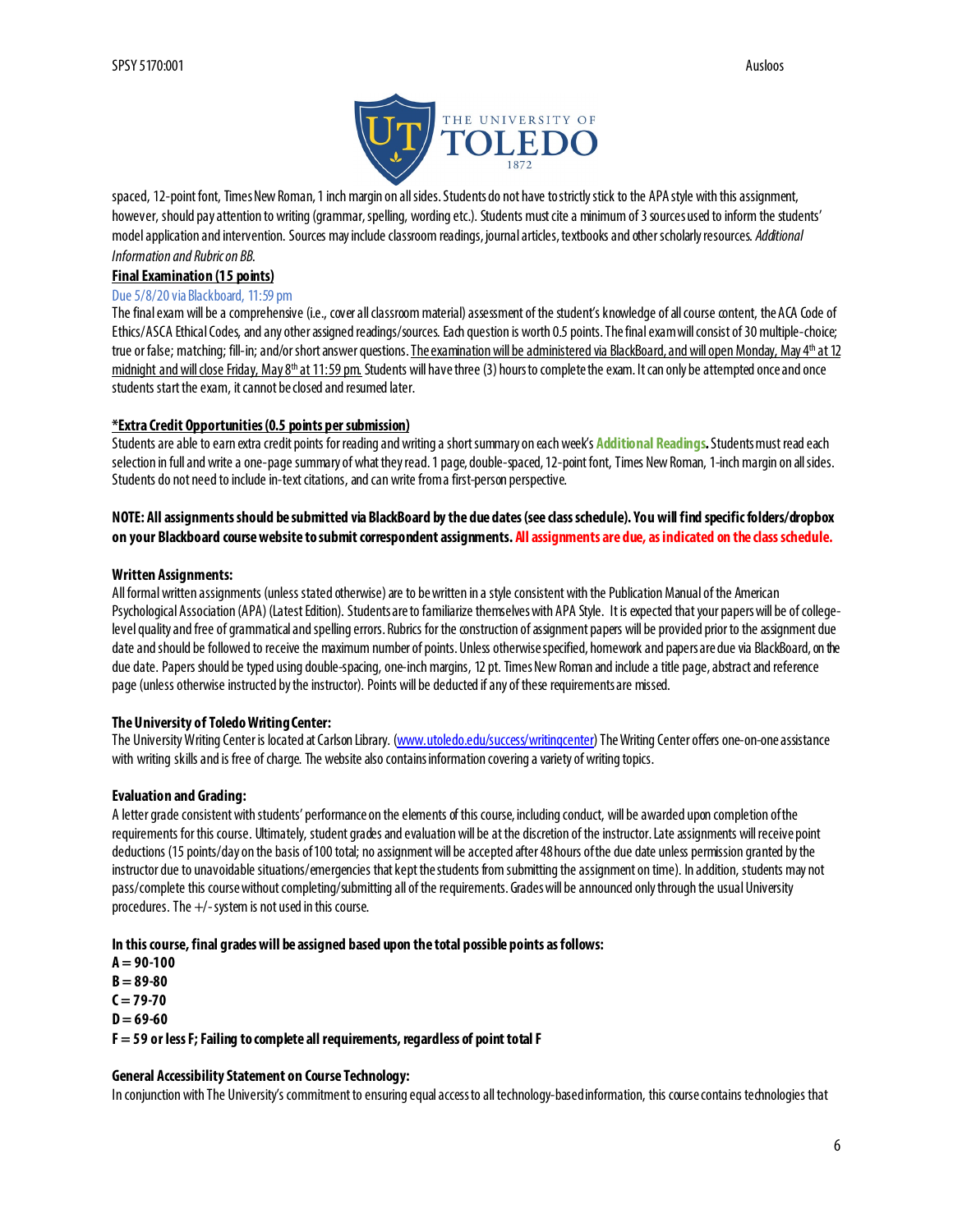

spaced, 12-point font, Times New Roman, 1 inch margin on all sides. Students do not have to strictly stick to the APA style with this assignment, however, should pay attention to writing (grammar, spelling, wording etc.). Students must cite a minimum of 3 sources used to inform the students' model application and intervention. Sources may include classroom readings, journal articles, textbooks and other scholarly resources. *Additional Information and Rubric on BB.* 

#### **Final Examination (15 points)**

#### Due 5/8/20 via Blackboard, 11:59 pm

The final exam will be a comprehensive (i.e., cover all classroom material) assessment of the student's knowledge of all course content, the ACA Code of Ethics/ASCA Ethical Codes, and any other assigned readings/sources. Each question is worth 0.5 points. The final exam will consist of 30 multiple-choice; true or false; matching; fill-in; and/or short answer questions. The examination will be administered via BlackBoard, and will open Monday, May 4<sup>th</sup> at 12 midnight and will close Friday, May 8<sup>th</sup> at 11:59 pm. Students will have three (3) hours to complete the exam. It can only be attempted once and once students start the exam, it cannot be closed and resumed later.

#### **\*Extra Credit Opportunities(0.5 points per submission)**

Students are able to earn extra credit points for reading and writing a short summary on each week's **Additional Readings***.* Students must read each selection in full and write a one-page summary of what they read. 1 page, double-spaced, 12-point font, Times New Roman, 1-inch margin on all sides. Students do not need to include in-text citations, and can write from a first-person perspective.

## **NOTE: All assignments should be submitted via BlackBoard by the due dates (see class schedule). You will find specific folders/dropbox on your Blackboard course website to submit correspondent assignments. All assignments are due, as indicated on the class schedule.**

#### **Written Assignments:**

All formal written assignments (unless stated otherwise) are to be written in a style consistent with the Publication Manual of the American Psychological Association (APA) (Latest Edition). Students are to familiarize themselves with APA Style. It is expected that your papers will be of collegelevel quality and free of grammatical and spelling errors. Rubrics for the construction of assignment papers will be provided prior to the assignment due date and should be followed to receive the maximum number ofpoints. Unless otherwise specified, homework and papers are due via BlackBoard, on the due date. Papers should be typed using double-spacing, one-inch margins, 12 pt. Times New Roman and include a title page, abstract and reference page (unless otherwise instructed by the instructor). Points will be deducted if any of these requirements are missed.

### **The University of Toledo Writing Center:**

The University Writing Center is located at Carlson Library. [\(www.utoledo.edu/success/writingcenter](http://www.utoledo.edu/success/writingcenter)) The Writing Center offers one-on-one assistance with writing skills and is free of charge. The website also contains information covering a variety of writing topics.

### **Evaluation and Grading:**

A letter grade consistent with students' performance on the elements of this course, including conduct, will be awarded upon completion of the requirements for this course. Ultimately, student grades and evaluation will be at the discretion of the instructor. Late assignments will receive point deductions (15 points/day on the basis of 100 total; no assignment will be accepted after 48 hours of the due date unless permission granted by the instructor due to unavoidable situations/emergencies that kept the students from submitting the assignment on time). In addition, students may not pass/complete this course without completing/submitting all of the requirements. Grades will be announced only through the usual University procedures. The +/-system is not used in this course.

#### **In this course, final grades will be assigned based upon the total possible points as follows:**

**A = 90-100 B = 89-80**  $C = 79 - 70$  $D = 69 - 60$ **F = 59 or less F; Failing to complete all requirements, regardless of point total F** 

## **General Accessibility Statement on Course Technology:**

In conjunction with The University's commitment to ensuring equal access to all technology-based information, this course contains technologies that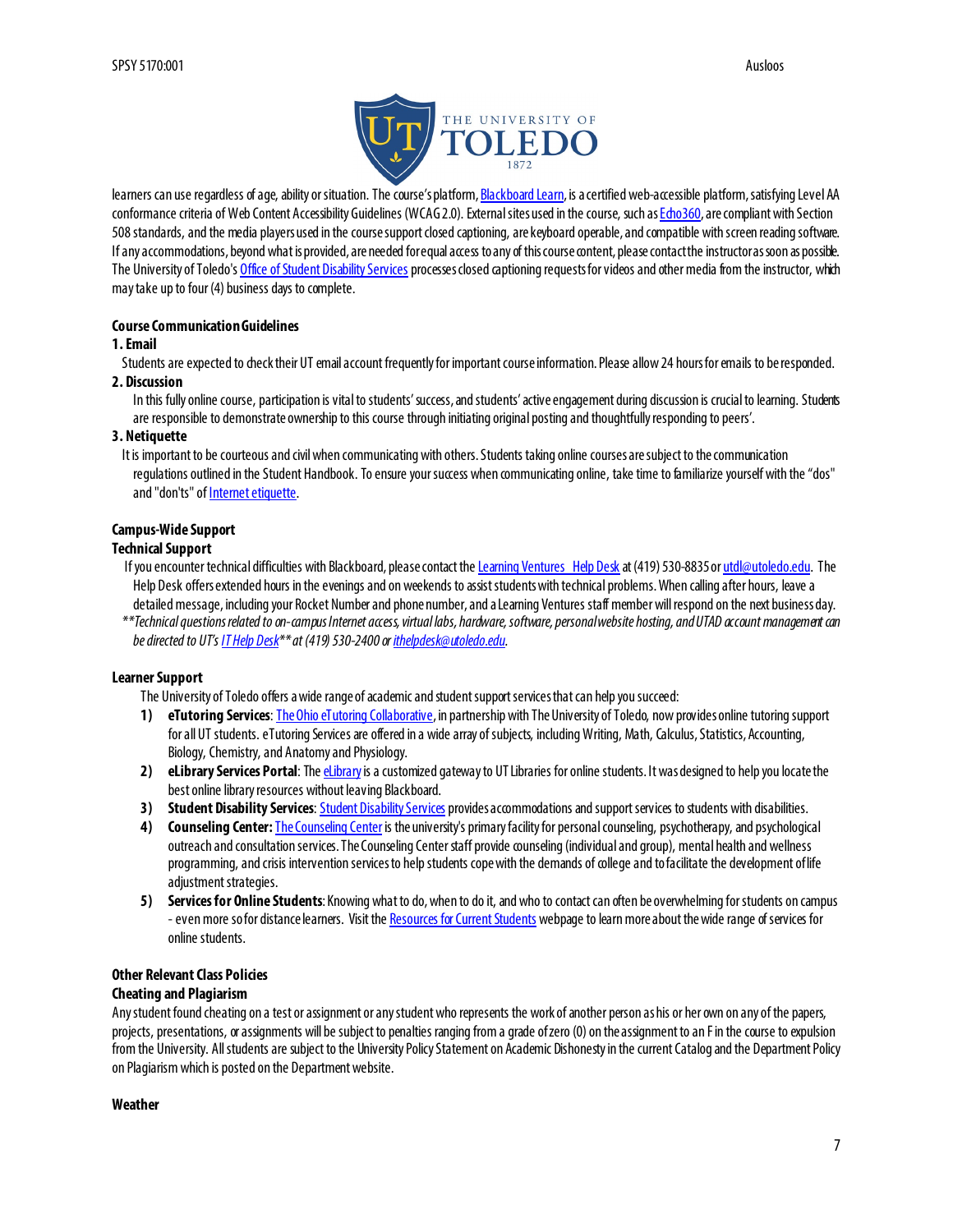

learners can use regardless of age, ability or situation. The course's platfor[m, Blackboard Learn](http://www.blackboard.com/Platforms/Learn/Resources/Accessibility.aspx), is a certified web-accessible platform, satisfying Level AA conformance criteria of Web Content Accessibility Guidelines (WCAG 2.0). External sites used in the course, such [as Echo360](http://echo360.com/press-release/echo360-earns-vpat-federal-government-section-508-accessibility-standard-credentialing), are compliant with Section 508 standards, and the media players used in the course support closed captioning, are keyboard operable, and compatible with screen reading software. If any accommodations, beyond what is provided, are needed for equal access to any of this course contact, please contact the instructor as soon as possible. The University of Toledo'[s Office of Student Disability Services](http://www.utoledo.edu/offices/student-disability-services/) processes closed captioning requests for videos and other media from the instructor, which may take up to four (4) business days to complete.

#### **Course Communication Guidelines**

#### **1. Email**

Students are expected to check their UT email account frequently for important course information. Please allow 24 hours for emails to be responded. **2. Discussion**

In this fully online course, participation is vital to students' success, and students' active engagement during discussion is crucial to learning. Students are responsible to demonstrate ownership to this course through initiating original posting and thoughtfully responding to peers'.

#### **3. Netiquette**

It is important to be courteous and civil when communicating with others. Students taking online courses are subject to the communication regulations outlined in the Student Handbook. To ensure your success when communicating online, take time to familiarize yourself with the "dos" and "don'ts" o[f Internet etiquette](http://www.albion.com/netiquette).

### **Campus-Wide Support**

#### **Technical Support**

- If you encounter technical difficulties with Blackboard, please contact th[e Learning Ventures Help Desk](http://www.utoledo.edu/dl/helpdesk/index.html) at (419) 530-8835 [or utdl@utoledo.edu](mailto:utdl@utoledo.edu). The Help Desk offers extended hours in the evenings and on weekends to assist students with technical problems. When calling after hours, leave a detailed message, including your Rocket Number and phone number, and a Learning Ventures staff member will respond on the next business day.
- *\*\*Technical questions related to on-campus Internet access, virtual labs, hardware, software, personal website hosting, and UTAD account management can be directed to UT'[s IT Help Desk](http://www.utoledo.edu/it/CS/HelpDesk.html)\*\* at (419) 530-2400 [or ithelpdesk@utoledo.edu.](mailto:ithelpdesk@utoledo.edu)*

### **Learner Support**

The University of Toledo offers a wide range of academic and student support services that can help you succeed:

- **1) eTutoring Services**[: The Ohio eTutoring Collaborative](https://www.etutoring.org/login.cfm?institutionid=232&returnPage), in partnership with The University of Toledo, now provides online tutoring support for all UT students. eTutoring Services are offered in a wide array of subjects, including Writing, Math, Calculus, Statistics, Accounting, Biology, Chemistry, and Anatomy and Physiology.
- 2) **eLibrary Services Portal:** The *eLibrary* is a customized gateway to UT Libraries for online students. It was designed to help you locate the best online library resources without leaving Blackboard.
- **3)** Student [Disability Services](http://www.utoledo.edu/offices/student-disability-services/index.html): Student Disability Services provides accommodations and support services to students with disabilities.
- **4) Counseling Center:**[The Counseling Center](http://www.utoledo.edu/studentaffairs/counseling/) is the university's primary facility for personal counseling, psychotherapy, and psychological outreach and consultation services. The Counseling Center staff provide counseling (individual and group), mental health and wellness programming, and crisis intervention services to help students cope with the demands of college and to facilitate the development of life adjustment strategies.
- **5) Services for Online Students**: Knowing what to do, when to do it, and who to contact can often be overwhelming for students on campus - even more sofor distance learners. Visit th[e Resources for Current Students](http://www.utoledo.edu/dl/students/student_serv.html) webpage to learn more about the wide range of services for online students.

# **Other Relevant Class Policies**

## **Cheating and Plagiarism**

Any student found cheating on a test or assignment or any student who represents the work of another person as his or her own on any of the papers, projects, presentations, or assignments will be subject to penalties ranging from a grade of zero (0) on the assignment to an F in the course to expulsion from the University. All students are subject to the University Policy Statement on Academic Dishonesty in the current Catalog and the Department Policy on Plagiarism which is posted on the Department website.

#### **Weather**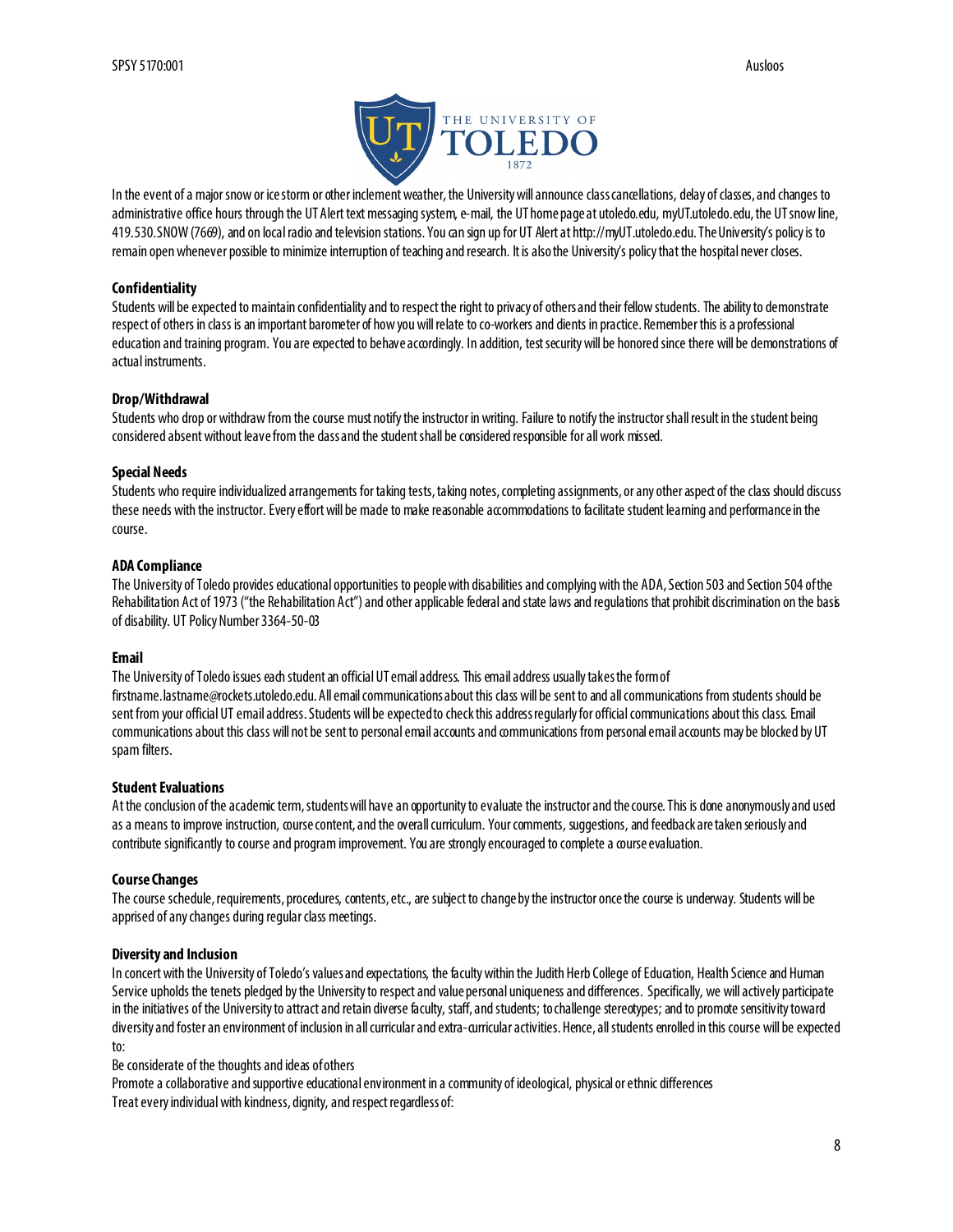

In the event of a major snow or ice storm or other inclement weather, the University will announce class cancellations, delay of classes, and changes to administrative office hours through the UT Alert text messaging system, e-mail, the UT home page at utoledo.edu, myUT.utoledo.edu, the UT snow line, 419.530.SNOW (7669), and on local radio and television stations. You can sign up for UT Alert at http://myUT.utoledo.edu. TheUniversity's policy is to remain open whenever possible to minimize interruption of teaching and research. It is also the University's policy that the hospital never closes.

#### **Confidentiality**

Students will be expected to maintain confidentiality and to respect the right to privacy of others and their fellow students. The ability to demonstrate respect of others in class is an important barometer of how you will relate to co-workers and dients in practice. Remember this is a professional education and training program. You are expected to behave accordingly. In addition, test security will be honored since there will be demonstrations of actual instruments.

#### **Drop/Withdrawal**

Students who drop or withdraw from the course must notify the instructor in writing. Failure to notify the instructor shall result in the student being considered absent without leave from the class and the student shall be considered responsible for all work missed.

#### **Special Needs**

Students who require individualized arrangements for taking tests, taking notes,completing assignments, or any other aspect of the class should discuss these needs with the instructor. Every effort will be made to make reasonable accommodations to facilitate student learning and performance in the course.

#### **ADA Compliance**

The University of Toledo provides educational opportunities to people with disabilities and complying with the ADA, Section 503 and Section 504 of the Rehabilitation Act of 1973 ("the Rehabilitation Act") and other applicable federal and state laws and regulations that prohibit discrimination on the basis of disability. UT Policy Number 3364-50-03

#### **Email**

The University of Toledo issues each student an official UT email address. This email address usually takes the form of firstname.lastname@rockets.utoledo.edu. All email communications about this class will be sent to and all communications from students should be sent from your official UT email address. Students will be expected to check this address regularly for official communications about this class. Email communications about this class will not be sent to personal email accounts and communications from personal email accounts may be blocked by UT spam filters.

#### **Student Evaluations**

At the conclusion of the academic term, students will have an opportunity to evaluate the instructor and the course. This is done anonymouslyand used as a means to improve instruction, course content, and the overall curriculum. Your comments, suggestions, and feedback are taken seriously and contribute significantly to course and program improvement. You are strongly encouraged to complete a course evaluation.

#### **Course Changes**

The course schedule, requirements, procedures, contents, etc., are subject to change by the instructor once the course is underway. Students will be apprised of any changes during regular class meetings.

#### **Diversity and Inclusion**

In concert with the University of Toledo's values and expectations, the faculty within the Judith Herb College of Education, Health Science and Human Service upholds the tenets pledged by the University to respect and value personal uniqueness and differences. Specifically, we will actively participate in the initiatives of the University to attract and retain diverse faculty, staff, and students; to challenge stereotypes; and to promote sensitivity toward diversity and foster an environment of inclusion in all curricular and extra-curricular activities.Hence, all students enrolled in this course will beexpected to:

Be considerate of the thoughts and ideas of others

Promote a collaborative and supportive educational environment in a community of ideological, physical or ethnic differences Treat every individual with kindness, dignity, and respect regardless of: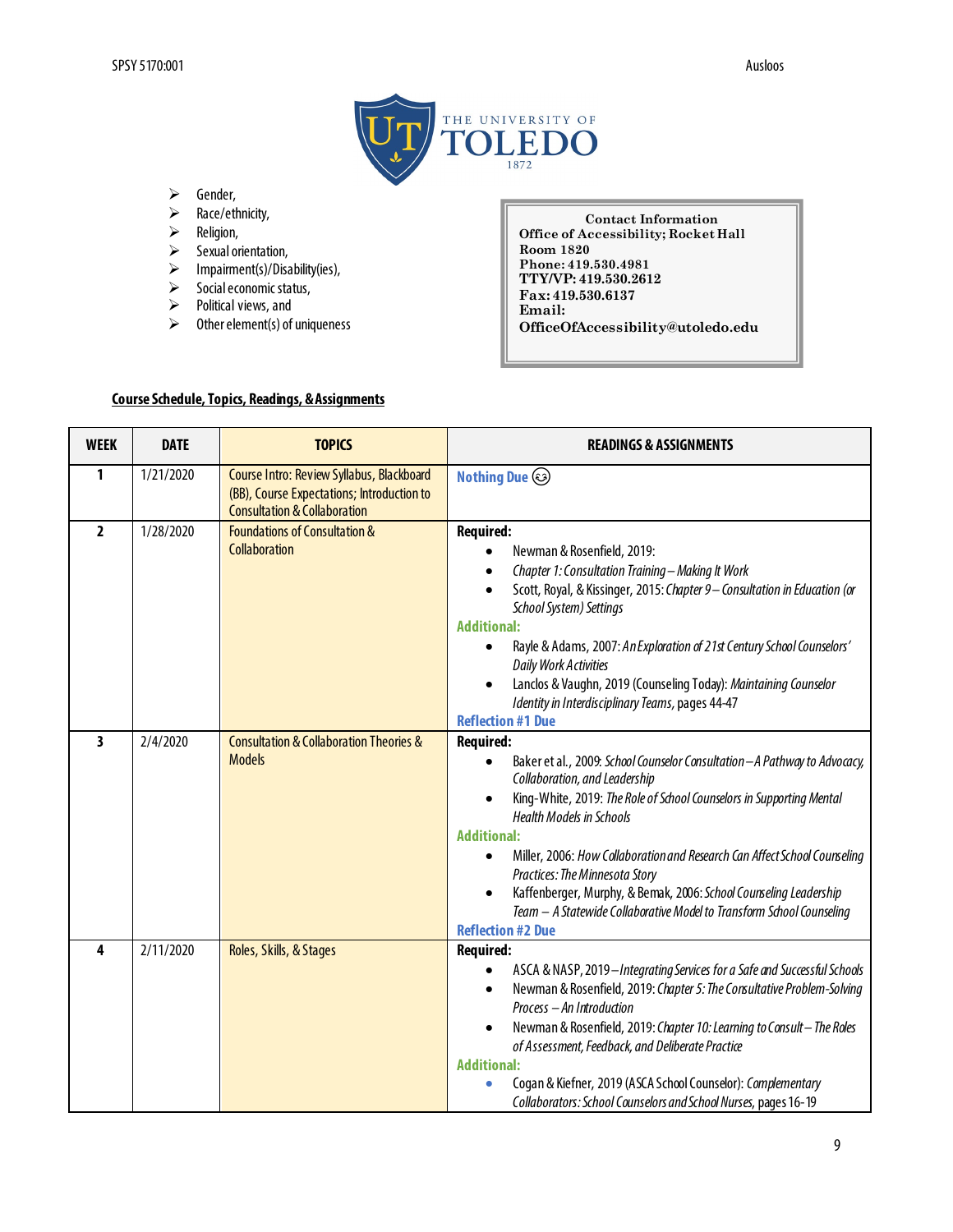

- $\triangleright$  Gender,
- $\geq$  Race/ethnicity,<br> $\geq$  Religion,
- Religion,
- $\triangleright$  Sexual orientation,
- $\triangleright$  Impairment(s)/Disability(ies),
- $\triangleright$  Social economic status,
- $\triangleright$  Political views, and
- $\triangleright$  Other element(s) of uniqueness

**Contact Information Office of Accessibility; Rocket Hall Room 1820 Phone: 419.530.4981 TTY/VP: 419.530.2612 Fax: 419.530.6137 Email: OfficeOfAccessibility@utoledo.edu**

# **Course Schedule, Topics, Readings, & Assignments**

| <b>WEEK</b>    | <b>DATE</b> | <b>TOPICS</b>                                                                                                                      | <b>READINGS &amp; ASSIGNMENTS</b>                                                                                                                                                                                                                                                                                                                                                                                                                                                                                                                                      |
|----------------|-------------|------------------------------------------------------------------------------------------------------------------------------------|------------------------------------------------------------------------------------------------------------------------------------------------------------------------------------------------------------------------------------------------------------------------------------------------------------------------------------------------------------------------------------------------------------------------------------------------------------------------------------------------------------------------------------------------------------------------|
| 1              | 1/21/2020   | Course Intro: Review Syllabus, Blackboard<br>(BB), Course Expectations; Introduction to<br><b>Consultation &amp; Collaboration</b> | <b>Nothing Due <math>\odot</math></b>                                                                                                                                                                                                                                                                                                                                                                                                                                                                                                                                  |
| $\overline{2}$ | 1/28/2020   | <b>Foundations of Consultation &amp;</b><br><b>Collaboration</b>                                                                   | <b>Required:</b><br>Newman & Rosenfield, 2019:<br>Chapter 1: Consultation Training - Making It Work<br>Scott, Royal, & Kissinger, 2015: Chapter 9- Consultation in Education (or<br>School System) Settings<br><b>Additional:</b><br>Rayle & Adams, 2007: An Exploration of 21st Century School Counselors'<br>$\bullet$<br><b>Daily Work Activities</b><br>Lanclos & Vaughn, 2019 (Counseling Today): Maintaining Counselor<br>Identity in Interdisciplinary Teams, pages 44-47<br><b>Reflection #1 Due</b>                                                           |
| 3              | 2/4/2020    | <b>Consultation &amp; Collaboration Theories &amp;</b><br><b>Models</b>                                                            | <b>Required:</b><br>Baker et al., 2009: School Counselor Consultation - A Pathway to Advocacy,<br>Collaboration, and Leadership<br>King-White, 2019: The Role of School Counselors in Supporting Mental<br><b>Health Models in Schools</b><br><b>Additional:</b><br>Miller, 2006: How Collaboration and Research Can Affect School Counseling<br>$\bullet$<br>Practices: The Minnesota Story<br>Kaffenberger, Murphy, & Bemak, 2006: School Counseling Leadership<br>Team - A Statewide Collaborative Model to Transform School Counseling<br><b>Reflection #2 Due</b> |
| 4              | 2/11/2020   | Roles, Skills, & Stages                                                                                                            | <b>Required:</b><br>ASCA & NASP, 2019-Integrating Services for a Safe and Successful Schools<br>٠<br>Newman & Rosenfield, 2019: Chapter 5: The Consultative Problem-Solving<br>$\bullet$<br>Process - An Introduction<br>Newman & Rosenfield, 2019: Chapter 10: Learning to Consult-The Roles<br>$\bullet$<br>of Assessment, Feedback, and Deliberate Practice<br><b>Additional:</b><br>Cogan & Kiefner, 2019 (ASCA School Counselor): Complementary<br>Collaborators: School Counselors and School Nurses, pages 16-19                                                |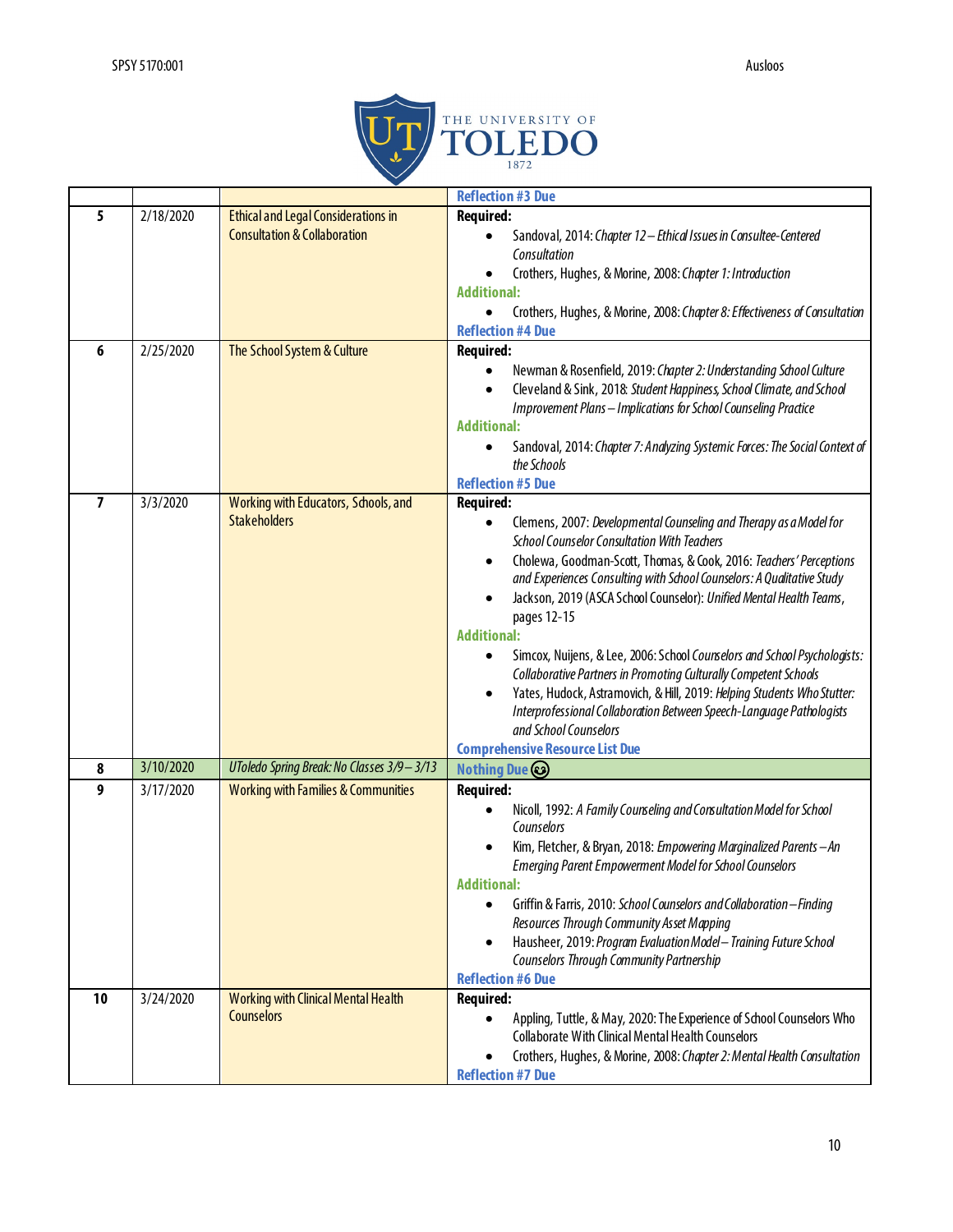

|        |                        |                                                                                                                      | <b>Reflection #3 Due</b>                                                                                                                                                                                                                                                                                                                                                                                                                                                                                                                                                                                                                                                                                                                                                         |
|--------|------------------------|----------------------------------------------------------------------------------------------------------------------|----------------------------------------------------------------------------------------------------------------------------------------------------------------------------------------------------------------------------------------------------------------------------------------------------------------------------------------------------------------------------------------------------------------------------------------------------------------------------------------------------------------------------------------------------------------------------------------------------------------------------------------------------------------------------------------------------------------------------------------------------------------------------------|
| 5<br>6 | 2/18/2020<br>2/25/2020 | <b>Ethical and Legal Considerations in</b><br><b>Consultation &amp; Collaboration</b><br>The School System & Culture | <b>Required:</b><br>Sandoval, 2014: Chapter 12 - Ethical Issues in Consultee-Centered<br>Consultation<br>Crothers, Hughes, & Morine, 2008: Chapter 1: Introduction<br><b>Additional:</b><br>Crothers, Hughes, & Morine, 2008: Chapter 8: Effectiveness of Consultation<br>$\bullet$<br><b>Reflection #4 Due</b><br><b>Required:</b><br>Newman & Rosenfield, 2019: Chapter 2: Understanding School Culture<br>٠<br>Cleveland & Sink, 2018: Student Happiness, School Climate, and School<br>$\bullet$<br>Improvement Plans - Implications for School Counseling Practice<br><b>Additional:</b><br>Sandoval, 2014: Chapter 7: Analyzing Systemic Forces: The Social Context of<br>the Schools                                                                                      |
|        |                        |                                                                                                                      | <b>Reflection #5 Due</b>                                                                                                                                                                                                                                                                                                                                                                                                                                                                                                                                                                                                                                                                                                                                                         |
| 7      | 3/3/2020               | Working with Educators, Schools, and<br><b>Stakeholders</b>                                                          | <b>Required:</b><br>Clemens, 2007: Developmental Counseling and Therapy as a Model for<br><b>School Counselor Consultation With Teachers</b><br>Cholewa, Goodman-Scott, Thomas, & Cook, 2016: Teachers' Perceptions<br>and Experiences Consulting with School Counselors: A Qualitative Study<br>Jackson, 2019 (ASCA School Counselor): Unified Mental Health Teams,<br>pages 12-15<br><b>Additional:</b><br>Simcox, Nuijens, & Lee, 2006: School Counselors and School Psychologists:<br>Collaborative Partners in Promoting Culturally Competent Schools<br>Yates, Hudock, Astramovich, & Hill, 2019: Helping Students Who Stutter:<br>Interprofessional Collaboration Between Speech-Language Pathologists<br>and School Counselors<br><b>Comprehensive Resource List Due</b> |
| 8      | 3/10/2020              | UToledo Spring Break: No Classes 3/9 - 3/13                                                                          | <b>Nothing Due</b>                                                                                                                                                                                                                                                                                                                                                                                                                                                                                                                                                                                                                                                                                                                                                               |
| 9      | 3/17/2020              | <b>Working with Families &amp; Communities</b>                                                                       | <b>Required:</b><br>Nicoll, 1992: A Family Counseling and Consultation Model for School<br>Counselors<br>Kim, Fletcher, & Bryan, 2018: Empowering Marginalized Parents-An<br><b>Emerging Parent Empowerment Model for School Counselors</b><br><b>Additional:</b><br>Griffin & Farris, 2010: School Counselors and Collaboration-Finding<br>$\bullet$<br>Resources Through Community Asset Mapping<br>Hausheer, 2019: Program Evaluation Model - Training Future School<br>$\bullet$<br>Counselors Through Community Partnership<br><b>Reflection #6 Due</b>                                                                                                                                                                                                                     |
| 10     | 3/24/2020              | <b>Working with Clinical Mental Health</b><br><b>Counselors</b>                                                      | <b>Required:</b><br>Appling, Tuttle, & May, 2020: The Experience of School Counselors Who<br><b>Collaborate With Clinical Mental Health Counselors</b><br>Crothers, Hughes, & Morine, 2008: Chapter 2: Mental Health Consultation<br><b>Reflection #7 Due</b>                                                                                                                                                                                                                                                                                                                                                                                                                                                                                                                    |